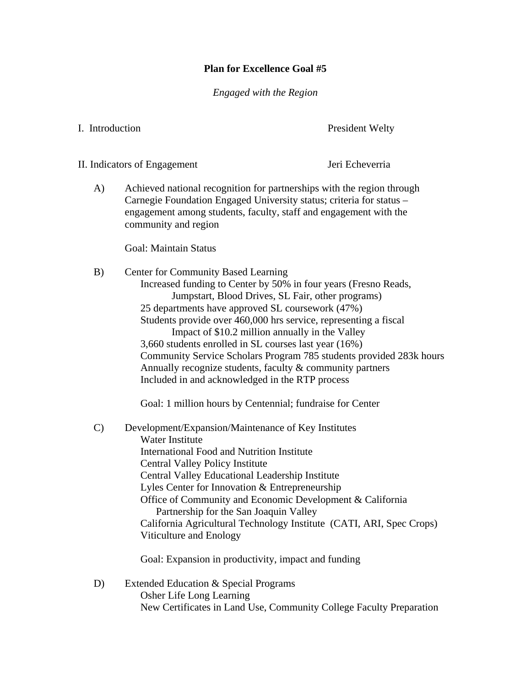## **Plan for Excellence Goal #5**

*Engaged with the Region* 

I. Introduction President Welty

II. Indicators of Engagement Jeri Echeverria

A) Achieved national recognition for partnerships with the region through Carnegie Foundation Engaged University status; criteria for status – engagement among students, faculty, staff and engagement with the community and region

Goal: Maintain Status

B) Center for Community Based Learning Increased funding to Center by 50% in four years (Fresno Reads, Jumpstart, Blood Drives, SL Fair, other programs) 25 departments have approved SL coursework (47%) Students provide over 460,000 hrs service, representing a fiscal Impact of \$10.2 million annually in the Valley 3,660 students enrolled in SL courses last year (16%) Community Service Scholars Program 785 students provided 283k hours Annually recognize students, faculty & community partners Included in and acknowledged in the RTP process

Goal: 1 million hours by Centennial; fundraise for Center

C) Development/Expansion/Maintenance of Key Institutes Water Institute International Food and Nutrition Institute Central Valley Policy Institute Central Valley Educational Leadership Institute Lyles Center for Innovation & Entrepreneurship Office of Community and Economic Development & California Partnership for the San Joaquin Valley California Agricultural Technology Institute (CATI, ARI, Spec Crops) Viticulture and Enology

Goal: Expansion in productivity, impact and funding

D) Extended Education & Special Programs Osher Life Long Learning New Certificates in Land Use, Community College Faculty Preparation